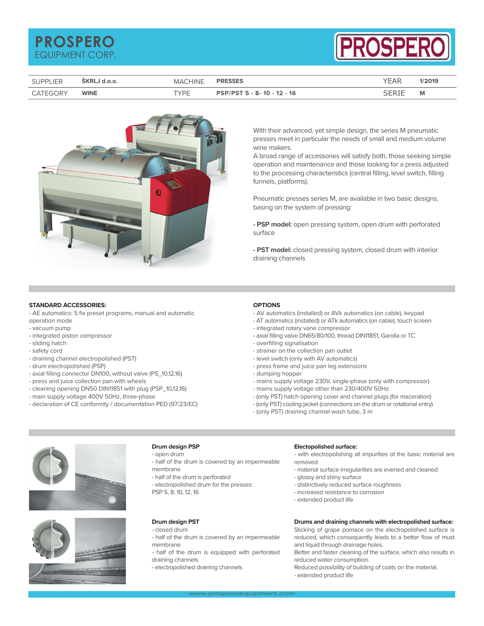# **PROSPERO** EQUIPMENT CORP.



|          |             | <b>MACHINE</b> | <b>PRESSES</b>             | YEAR | 1/2019 |
|----------|-------------|----------------|----------------------------|------|--------|
| CATEGORY | <b>WINE</b> | TYPF           | SP/PST 5 - 8- 10 - 12 - 16 |      | M      |



With their advanced, yet simple design, the series M pneumatic presses meet in particular the needs of small and medium volume wine makers.

A broad range of accessories will satisfy both, those seeking simple operation and maintenance and those looking for a press adjusted to the processing characteristics (central filling, level switch, filling funnels, platforms).

Pneumatic presses series M, are available in two basic designs, basing on the system of pressing:

**- PSP model:** open pressing system, open drum with perforated surface

**- PST model:** closed pressing system, closed drum with interior draining channels

## **STANDARD ACCESSORIES:**

- AE automatics: 5 fix preset programs, manual and automatic

- operation mode - vacuum pump
- integrated piston compressor
- sliding hatch
- safety cord
- draining channel electropolished (PST)
- drum electropolished (PSP)
- axial filling connector DN100, without valve (PS\_10,12,16)
- press and juice collection pan with wheels
- cleaning opening DN50 DIN11851 with plug (PSP\_10,12,16)
- main supply voltage 400V 50Hz, three-phase
- declaration of CE conformity / documentation PED (97/23/EC)

## **OPTIONS**

- AV automatics (installed) or AVk automatics (on cable), keypad
- AT automatics (installed) or ATk automatics (on cable), touch screen
- integrated rotary vane compressor
- axial filling valve DN65/80/100, thread DIN11851, Garolla or TC
- overfilling signalisation
- strainer on the collection pan outlet
- level switch (only with AV automatics)
- press frame and juice pan leg extensions
- dumping hopper
- mains supply voltage 230V, single-phase (only with compressor)
- mains supply voltage other than 230/400V 50Hz
- (only PST) hatch opening cover and channel plugs (for maceration)
- (only PST) cooling jacket (connections on the drum or rotational entry)
- (only PST) draining channel wash tube, 3 m





## **Drum design PSP**

- open drum

- half of the drum is covered by an impermeable membrane
- half of the drum is perforated
- electropolished drum for the presses:
- PSP 5, 8, 10, 12, 16

## **Drum design PST**

- closed drum
- half of the drum is covered by an impermeable membrane
- half of the drum is equipped with perforated draining channels
- electropolished draining channels

#### **Electopolished surface:**

- with electropolishing all impurities of the basic material are removed

- material surface irregularities are evened and cleaned
- glossy and shiny surface
- distinctively reduced surface roughness
- increased resistance to corrosion
- extended product life

## **Drums and draining channels with electropolished surface:**

Sticking of grape pomace on the electropolished surface is reduced, which consequently leads to a better flow of must and liquid through drainage holes.

Better and faster cleaning of the surface, which also results in reduced water consumption.

Reduced possibility of building of coats on the material.

- extended product life